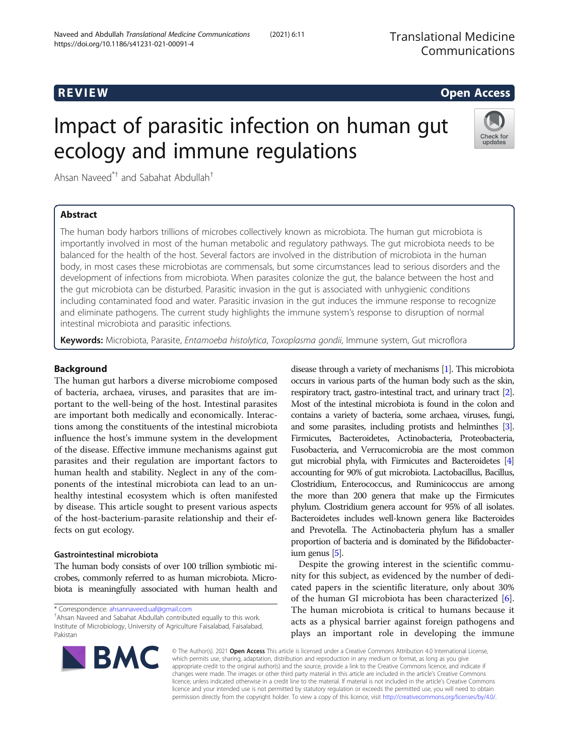# R EVI EW Open Access

# Impact of parasitic infection on human gut ecology and immune regulations



Ahsan Naveed\*† and Sabahat Abdullah†

# Abstract

The human body harbors trillions of microbes collectively known as microbiota. The human gut microbiota is importantly involved in most of the human metabolic and regulatory pathways. The gut microbiota needs to be balanced for the health of the host. Several factors are involved in the distribution of microbiota in the human body, in most cases these microbiotas are commensals, but some circumstances lead to serious disorders and the development of infections from microbiota. When parasites colonize the gut, the balance between the host and the gut microbiota can be disturbed. Parasitic invasion in the gut is associated with unhygienic conditions including contaminated food and water. Parasitic invasion in the gut induces the immune response to recognize and eliminate pathogens. The current study highlights the immune system's response to disruption of normal intestinal microbiota and parasitic infections.

Keywords: Microbiota, Parasite, Entamoeba histolytica, Toxoplasma gondii, Immune system, Gut microflora

## Background

The human gut harbors a diverse microbiome composed of bacteria, archaea, viruses, and parasites that are important to the well-being of the host. Intestinal parasites are important both medically and economically. Interactions among the constituents of the intestinal microbiota influence the host's immune system in the development of the disease. Effective immune mechanisms against gut parasites and their regulation are important factors to human health and stability. Neglect in any of the components of the intestinal microbiota can lead to an unhealthy intestinal ecosystem which is often manifested by disease. This article sought to present various aspects of the host-bacterium-parasite relationship and their effects on gut ecology.

### Gastrointestinal microbiota

The human body consists of over 100 trillion symbiotic microbes, commonly referred to as human microbiota. Microbiota is meaningfully associated with human health and

\* Correspondence: [ahsannaveed.uaf@gmail.com](mailto:ahsannaveed.uaf@gmail.com) †

Ahsan Naveed and Sabahat Abdullah contributed equally to this work. Institute of Microbiology, University of Agriculture Faisalabad, Faisalabad, Pakistan

disease through a variety of mechanisms [\[1\]](#page-6-0). This microbiota occurs in various parts of the human body such as the skin, respiratory tract, gastro-intestinal tract, and urinary tract [\[2\]](#page-6-0). Most of the intestinal microbiota is found in the colon and contains a variety of bacteria, some archaea, viruses, fungi, and some parasites, including protists and helminthes [\[3\]](#page-6-0). Firmicutes, Bacteroidetes, Actinobacteria, Proteobacteria, Fusobacteria, and Verrucomicrobia are the most common gut microbial phyla, with Firmicutes and Bacteroidetes [[4](#page-6-0)] accounting for 90% of gut microbiota. Lactobacillus, Bacillus, Clostridium, Enterococcus, and Ruminicoccus are among the more than 200 genera that make up the Firmicutes phylum. Clostridium genera account for 95% of all isolates. Bacteroidetes includes well-known genera like Bacteroides and Prevotella. The Actinobacteria phylum has a smaller proportion of bacteria and is dominated by the Bifidobacterium genus [\[5\]](#page-6-0).

Despite the growing interest in the scientific community for this subject, as evidenced by the number of dedicated papers in the scientific literature, only about 30% of the human GI microbiota has been characterized  $[6]$  $[6]$ . The human microbiota is critical to humans because it acts as a physical barrier against foreign pathogens and plays an important role in developing the immune



© The Author(s). 2021 Open Access This article is licensed under a Creative Commons Attribution 4.0 International License, which permits use, sharing, adaptation, distribution and reproduction in any medium or format, as long as you give appropriate credit to the original author(s) and the source, provide a link to the Creative Commons licence, and indicate if changes were made. The images or other third party material in this article are included in the article's Creative Commons licence, unless indicated otherwise in a credit line to the material. If material is not included in the article's Creative Commons licence and your intended use is not permitted by statutory regulation or exceeds the permitted use, you will need to obtain permission directly from the copyright holder. To view a copy of this licence, visit [http://creativecommons.org/licenses/by/4.0/.](http://creativecommons.org/licenses/by/4.0/)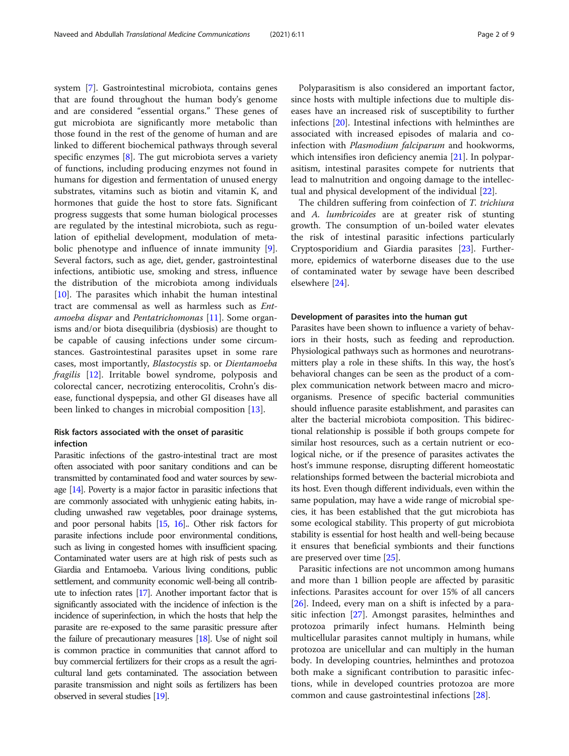system [\[7](#page-6-0)]. Gastrointestinal microbiota, contains genes that are found throughout the human body's genome and are considered "essential organs." These genes of gut microbiota are significantly more metabolic than those found in the rest of the genome of human and are linked to different biochemical pathways through several specific enzymes  $[8]$  $[8]$ . The gut microbiota serves a variety of functions, including producing enzymes not found in humans for digestion and fermentation of unused energy substrates, vitamins such as biotin and vitamin K, and hormones that guide the host to store fats. Significant progress suggests that some human biological processes are regulated by the intestinal microbiota, such as regulation of epithelial development, modulation of metabolic phenotype and influence of innate immunity [\[9](#page-6-0)]. Several factors, such as age, diet, gender, gastrointestinal infections, antibiotic use, smoking and stress, influence the distribution of the microbiota among individuals  $[10]$  $[10]$ . The parasites which inhabit the human intestinal tract are commensal as well as harmless such as Entamoeba dispar and Pentatrichomonas [\[11\]](#page-6-0). Some organisms and/or biota disequilibria (dysbiosis) are thought to be capable of causing infections under some circumstances. Gastrointestinal parasites upset in some rare cases, most importantly, Blastocystis sp. or Dientamoeba fragilis [\[12](#page-6-0)]. Irritable bowel syndrome, polyposis and colorectal cancer, necrotizing enterocolitis, Crohn's disease, functional dyspepsia, and other GI diseases have all been linked to changes in microbial composition [[13](#page-6-0)].

### Risk factors associated with the onset of parasitic infection

Parasitic infections of the gastro-intestinal tract are most often associated with poor sanitary conditions and can be transmitted by contaminated food and water sources by sewage [\[14](#page-6-0)]. Poverty is a major factor in parasitic infections that are commonly associated with unhygienic eating habits, including unwashed raw vegetables, poor drainage systems, and poor personal habits [\[15](#page-6-0), [16](#page-6-0)].. Other risk factors for parasite infections include poor environmental conditions, such as living in congested homes with insufficient spacing. Contaminated water users are at high risk of pests such as Giardia and Entamoeba. Various living conditions, public settlement, and community economic well-being all contribute to infection rates  $[17]$  $[17]$ . Another important factor that is significantly associated with the incidence of infection is the incidence of superinfection, in which the hosts that help the parasite are re-exposed to the same parasitic pressure after the failure of precautionary measures [\[18](#page-6-0)]. Use of night soil is common practice in communities that cannot afford to buy commercial fertilizers for their crops as a result the agricultural land gets contaminated. The association between parasite transmission and night soils as fertilizers has been observed in several studies [\[19](#page-6-0)].

Polyparasitism is also considered an important factor, since hosts with multiple infections due to multiple diseases have an increased risk of susceptibility to further infections [\[20](#page-6-0)]. Intestinal infections with helminthes are associated with increased episodes of malaria and coinfection with Plasmodium falciparum and hookworms, which intensifies iron deficiency anemia [[21](#page-6-0)]. In polyparasitism, intestinal parasites compete for nutrients that lead to malnutrition and ongoing damage to the intellectual and physical development of the individual [\[22](#page-6-0)].

The children suffering from coinfection of T. trichiura and A. lumbricoides are at greater risk of stunting growth. The consumption of un-boiled water elevates the risk of intestinal parasitic infections particularly Cryptosporidium and Giardia parasites [[23\]](#page-6-0). Furthermore, epidemics of waterborne diseases due to the use of contaminated water by sewage have been described elsewhere [[24](#page-6-0)].

#### Development of parasites into the human gut

Parasites have been shown to influence a variety of behaviors in their hosts, such as feeding and reproduction. Physiological pathways such as hormones and neurotransmitters play a role in these shifts. In this way, the host's behavioral changes can be seen as the product of a complex communication network between macro and microorganisms. Presence of specific bacterial communities should influence parasite establishment, and parasites can alter the bacterial microbiota composition. This bidirectional relationship is possible if both groups compete for similar host resources, such as a certain nutrient or ecological niche, or if the presence of parasites activates the host's immune response, disrupting different homeostatic relationships formed between the bacterial microbiota and its host. Even though different individuals, even within the same population, may have a wide range of microbial species, it has been established that the gut microbiota has some ecological stability. This property of gut microbiota stability is essential for host health and well-being because it ensures that beneficial symbionts and their functions are preserved over time [\[25\]](#page-6-0).

Parasitic infections are not uncommon among humans and more than 1 billion people are affected by parasitic infections. Parasites account for over 15% of all cancers [[26\]](#page-6-0). Indeed, every man on a shift is infected by a parasitic infection [[27](#page-6-0)]. Amongst parasites, helminthes and protozoa primarily infect humans. Helminth being multicellular parasites cannot multiply in humans, while protozoa are unicellular and can multiply in the human body. In developing countries, helminthes and protozoa both make a significant contribution to parasitic infections, while in developed countries protozoa are more common and cause gastrointestinal infections [\[28](#page-6-0)].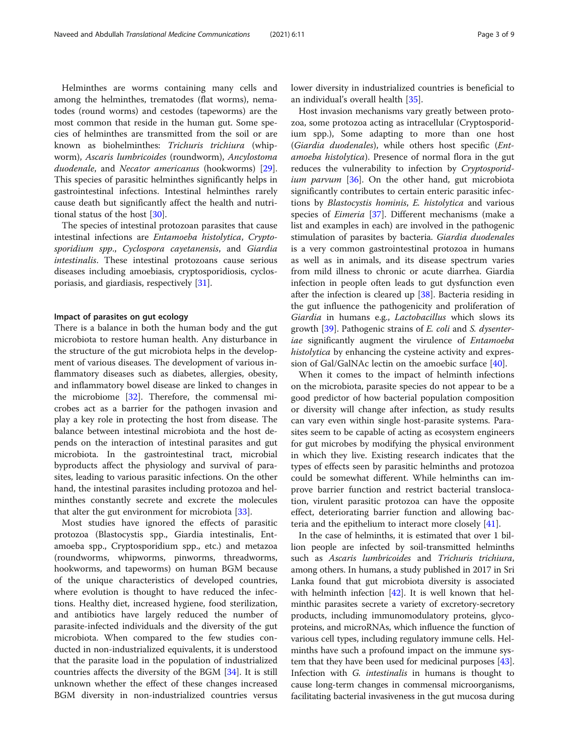Helminthes are worms containing many cells and among the helminthes, trematodes (flat worms), nematodes (round worms) and cestodes (tapeworms) are the most common that reside in the human gut. Some species of helminthes are transmitted from the soil or are known as biohelminthes: Trichuris trichiura (whipworm), Ascaris lumbricoides (roundworm), Ancylostoma duodenale, and Necator americanus (hookworms) [\[29](#page-6-0)]. This species of parasitic helminthes significantly helps in gastrointestinal infections. Intestinal helminthes rarely cause death but significantly affect the health and nutritional status of the host [[30](#page-6-0)].

The species of intestinal protozoan parasites that cause intestinal infections are Entamoeba histolytica, Cryptosporidium spp., Cyclospora cayetanensis, and Giardia intestinalis. These intestinal protozoans cause serious diseases including amoebiasis, cryptosporidiosis, cyclosporiasis, and giardiasis, respectively [\[31\]](#page-6-0).

#### Impact of parasites on gut ecology

There is a balance in both the human body and the gut microbiota to restore human health. Any disturbance in the structure of the gut microbiota helps in the development of various diseases. The development of various inflammatory diseases such as diabetes, allergies, obesity, and inflammatory bowel disease are linked to changes in the microbiome [\[32](#page-6-0)]. Therefore, the commensal microbes act as a barrier for the pathogen invasion and play a key role in protecting the host from disease. The balance between intestinal microbiota and the host depends on the interaction of intestinal parasites and gut microbiota. In the gastrointestinal tract, microbial byproducts affect the physiology and survival of parasites, leading to various parasitic infections. On the other hand, the intestinal parasites including protozoa and helminthes constantly secrete and excrete the molecules that alter the gut environment for microbiota [[33\]](#page-6-0).

Most studies have ignored the effects of parasitic protozoa (Blastocystis spp., Giardia intestinalis, Entamoeba spp., Cryptosporidium spp., etc.) and metazoa (roundworms, whipworms, pinworms, threadworms, hookworms, and tapeworms) on human BGM because of the unique characteristics of developed countries, where evolution is thought to have reduced the infections. Healthy diet, increased hygiene, food sterilization, and antibiotics have largely reduced the number of parasite-infected individuals and the diversity of the gut microbiota. When compared to the few studies conducted in non-industrialized equivalents, it is understood that the parasite load in the population of industrialized countries affects the diversity of the BGM [[34\]](#page-6-0). It is still unknown whether the effect of these changes increased BGM diversity in non-industrialized countries versus lower diversity in industrialized countries is beneficial to an individual's overall health [[35\]](#page-6-0).

Host invasion mechanisms vary greatly between protozoa, some protozoa acting as intracellular (Cryptosporidium spp.), Some adapting to more than one host (Giardia duodenales), while others host specific (Entamoeba histolytica). Presence of normal flora in the gut reduces the vulnerability to infection by Cryptosporid*ium parvum* [[36\]](#page-6-0). On the other hand, gut microbiota significantly contributes to certain enteric parasitic infections by Blastocystis hominis, E. histolytica and various species of *Eimeria* [[37](#page-6-0)]. Different mechanisms (make a list and examples in each) are involved in the pathogenic stimulation of parasites by bacteria. Giardia duodenales is a very common gastrointestinal protozoa in humans as well as in animals, and its disease spectrum varies from mild illness to chronic or acute diarrhea. Giardia infection in people often leads to gut dysfunction even after the infection is cleared up [[38](#page-6-0)]. Bacteria residing in the gut influence the pathogenicity and proliferation of Giardia in humans e.g., Lactobacillus which slows its growth [[39](#page-6-0)]. Pathogenic strains of E. coli and S. dysenteriae significantly augment the virulence of Entamoeba histolytica by enhancing the cysteine activity and expression of Gal/GalNAc lectin on the amoebic surface [\[40\]](#page-6-0).

When it comes to the impact of helminth infections on the microbiota, parasite species do not appear to be a good predictor of how bacterial population composition or diversity will change after infection, as study results can vary even within single host-parasite systems. Parasites seem to be capable of acting as ecosystem engineers for gut microbes by modifying the physical environment in which they live. Existing research indicates that the types of effects seen by parasitic helminths and protozoa could be somewhat different. While helminths can improve barrier function and restrict bacterial translocation, virulent parasitic protozoa can have the opposite effect, deteriorating barrier function and allowing bacteria and the epithelium to interact more closely [\[41](#page-7-0)].

In the case of helminths, it is estimated that over 1 billion people are infected by soil-transmitted helminths such as Ascaris lumbricoides and Trichuris trichiura, among others. In humans, a study published in 2017 in Sri Lanka found that gut microbiota diversity is associated with helminth infection [\[42\]](#page-7-0). It is well known that helminthic parasites secrete a variety of excretory-secretory products, including immunomodulatory proteins, glycoproteins, and microRNAs, which influence the function of various cell types, including regulatory immune cells. Helminths have such a profound impact on the immune system that they have been used for medicinal purposes [[43](#page-7-0)]. Infection with G. intestinalis in humans is thought to cause long-term changes in commensal microorganisms, facilitating bacterial invasiveness in the gut mucosa during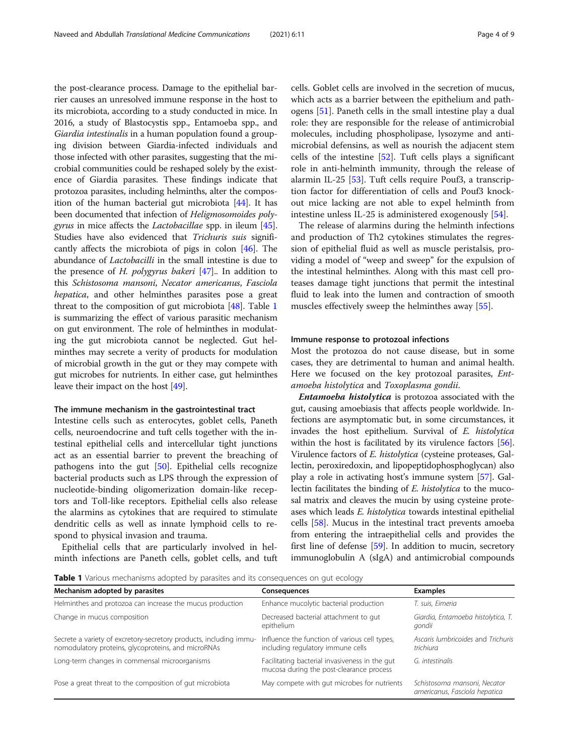the post-clearance process. Damage to the epithelial barrier causes an unresolved immune response in the host to its microbiota, according to a study conducted in mice. In 2016, a study of Blastocystis spp., Entamoeba spp., and Giardia intestinalis in a human population found a grouping division between Giardia-infected individuals and those infected with other parasites, suggesting that the microbial communities could be reshaped solely by the existence of Giardia parasites. These findings indicate that protozoa parasites, including helminths, alter the composition of the human bacterial gut microbiota [\[44](#page-7-0)]. It has been documented that infection of Heligmosomoides poly*gyrus* in mice affects the *Lactobacillae* spp. in ileum [[45](#page-7-0)]. Studies have also evidenced that Trichuris suis significantly affects the microbiota of pigs in colon [\[46\]](#page-7-0). The abundance of Lactobacilli in the small intestine is due to the presence of H. polygyrus bakeri [\[47](#page-7-0)].. In addition to this Schistosoma mansoni, Necator americanus, Fasciola hepatica, and other helminthes parasites pose a great threat to the composition of gut microbiota [[48](#page-7-0)]. Table 1 is summarizing the effect of various parasitic mechanism on gut environment. The role of helminthes in modulating the gut microbiota cannot be neglected. Gut helminthes may secrete a verity of products for modulation of microbial growth in the gut or they may compete with gut microbes for nutrients. In either case, gut helminthes leave their impact on the host [\[49](#page-7-0)].

#### The immune mechanism in the gastrointestinal tract

Intestine cells such as enterocytes, goblet cells, Paneth cells, neuroendocrine and tuft cells together with the intestinal epithelial cells and intercellular tight junctions act as an essential barrier to prevent the breaching of pathogens into the gut [[50\]](#page-7-0). Epithelial cells recognize bacterial products such as LPS through the expression of nucleotide-binding oligomerization domain-like receptors and Toll-like receptors. Epithelial cells also release the alarmins as cytokines that are required to stimulate dendritic cells as well as innate lymphoid cells to respond to physical invasion and trauma.

Epithelial cells that are particularly involved in helminth infections are Paneth cells, goblet cells, and tuft cells. Goblet cells are involved in the secretion of mucus, which acts as a barrier between the epithelium and pathogens [\[51](#page-7-0)]. Paneth cells in the small intestine play a dual role: they are responsible for the release of antimicrobial molecules, including phospholipase, lysozyme and antimicrobial defensins, as well as nourish the adjacent stem cells of the intestine [\[52\]](#page-7-0). Tuft cells plays a significant role in anti-helminth immunity, through the release of alarmin IL-25 [\[53\]](#page-7-0). Tuft cells require Pouf3, a transcription factor for differentiation of cells and Pouf3 knockout mice lacking are not able to expel helminth from intestine unless IL-25 is administered exogenously [\[54\]](#page-7-0).

The release of alarmins during the helminth infections and production of Th2 cytokines stimulates the regression of epithelial fluid as well as muscle peristalsis, providing a model of "weep and sweep" for the expulsion of the intestinal helminthes. Along with this mast cell proteases damage tight junctions that permit the intestinal fluid to leak into the lumen and contraction of smooth muscles effectively sweep the helminthes away [\[55\]](#page-7-0).

#### Immune response to protozoal infections

Most the protozoa do not cause disease, but in some cases, they are detrimental to human and animal health. Here we focused on the key protozoal parasites, Entamoeba histolytica and Toxoplasma gondii.

Entamoeba histolytica is protozoa associated with the gut, causing amoebiasis that affects people worldwide. Infections are asymptomatic but, in some circumstances, it invades the host epithelium. Survival of E. histolytica within the host is facilitated by its virulence factors [[56](#page-7-0)]. Virulence factors of E. histolytica (cysteine proteases, Gallectin, peroxiredoxin, and lipopeptidophosphoglycan) also play a role in activating host's immune system [[57](#page-7-0)]. Gallectin facilitates the binding of E. histolytica to the mucosal matrix and cleaves the mucin by using cysteine proteases which leads E. histolytica towards intestinal epithelial cells [[58\]](#page-7-0). Mucus in the intestinal tract prevents amoeba from entering the intraepithelial cells and provides the first line of defense [\[59\]](#page-7-0). In addition to mucin, secretory immunoglobulin A (sIgA) and antimicrobial compounds

**Table 1** Various mechanisms adopted by parasites and its consequences on gut ecology

| ۔ ب                                                                                                                       |                                                                                            |                                                               |
|---------------------------------------------------------------------------------------------------------------------------|--------------------------------------------------------------------------------------------|---------------------------------------------------------------|
| Mechanism adopted by parasites                                                                                            | Consequences                                                                               | <b>Examples</b>                                               |
| Helminthes and protozoa can increase the mucus production                                                                 | Enhance mucolytic bacterial production                                                     | T. suis, Eimeria                                              |
| Change in mucus composition                                                                                               | Decreased bacterial attachment to gut<br>epithelium                                        | Giardia, Entamoeba histolytica, T.<br>gondii                  |
| Secrete a variety of excretory-secretory products, including immu-<br>nomodulatory proteins, glycoproteins, and microRNAs | Influence the function of various cell types,<br>including regulatory immune cells         | Ascaris lumbricoides and Trichuris<br>trichiura               |
| Long-term changes in commensal microorganisms                                                                             | Facilitating bacterial invasiveness in the gut<br>mucosa during the post-clearance process | G. intestinalis                                               |
| Pose a great threat to the composition of gut microbiota                                                                  | May compete with gut microbes for nutrients                                                | Schistosoma mansoni, Necator<br>americanus, Fasciola hepatica |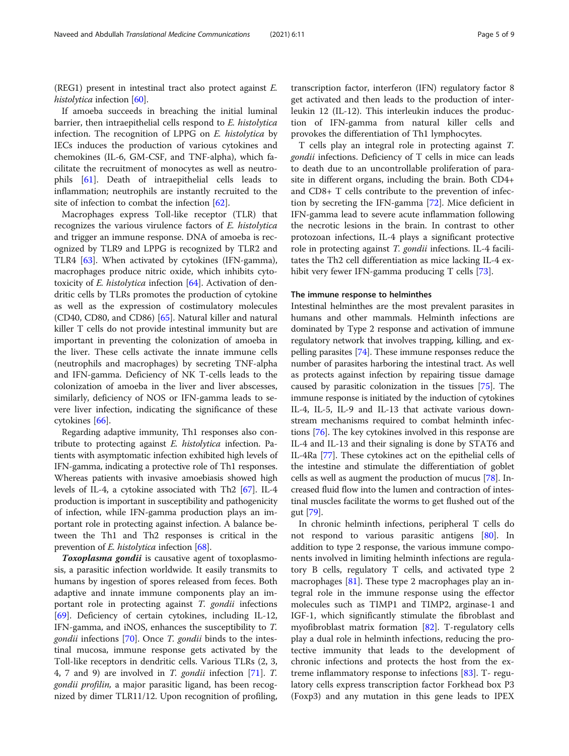(REG1) present in intestinal tract also protect against E. histolytica infection [[60](#page-7-0)].

If amoeba succeeds in breaching the initial luminal barrier, then intraepithelial cells respond to E. histolytica infection. The recognition of LPPG on E. histolytica by IECs induces the production of various cytokines and chemokines (IL-6, GM-CSF, and TNF-alpha), which facilitate the recruitment of monocytes as well as neutrophils [[61\]](#page-7-0). Death of intraepithelial cells leads to inflammation; neutrophils are instantly recruited to the site of infection to combat the infection [[62](#page-7-0)].

Macrophages express Toll-like receptor (TLR) that recognizes the various virulence factors of E. histolytica and trigger an immune response. DNA of amoeba is recognized by TLR9 and LPPG is recognized by TLR2 and TLR4 [\[63\]](#page-7-0). When activated by cytokines (IFN-gamma), macrophages produce nitric oxide, which inhibits cytotoxicity of E. histolytica infection [[64\]](#page-7-0). Activation of dendritic cells by TLRs promotes the production of cytokine as well as the expression of costimulatory molecules (CD40, CD80, and CD86) [\[65\]](#page-7-0). Natural killer and natural killer T cells do not provide intestinal immunity but are important in preventing the colonization of amoeba in the liver. These cells activate the innate immune cells (neutrophils and macrophages) by secreting TNF-alpha and IFN-gamma. Deficiency of NK T-cells leads to the colonization of amoeba in the liver and liver abscesses, similarly, deficiency of NOS or IFN-gamma leads to severe liver infection, indicating the significance of these cytokines [[66\]](#page-7-0).

Regarding adaptive immunity, Th1 responses also contribute to protecting against E. histolytica infection. Patients with asymptomatic infection exhibited high levels of IFN-gamma, indicating a protective role of Th1 responses. Whereas patients with invasive amoebiasis showed high levels of IL-4, a cytokine associated with Th2 [\[67](#page-7-0)]. IL-4 production is important in susceptibility and pathogenicity of infection, while IFN-gamma production plays an important role in protecting against infection. A balance between the Th1 and Th2 responses is critical in the prevention of *E. histolytica* infection [[68](#page-7-0)].

Toxoplasma gondii is causative agent of toxoplasmosis, a parasitic infection worldwide. It easily transmits to humans by ingestion of spores released from feces. Both adaptive and innate immune components play an important role in protecting against T. gondii infections [[69\]](#page-7-0). Deficiency of certain cytokines, including IL-12, IFN-gamma, and iNOS, enhances the susceptibility to T. *gondii* infections [[70\]](#page-7-0). Once *T. gondii* binds to the intestinal mucosa, immune response gets activated by the Toll-like receptors in dendritic cells. Various TLRs (2, 3, 4, 7 and 9) are involved in T. gondii infection [[71](#page-7-0)]. T. gondii profilin, a major parasitic ligand, has been recognized by dimer TLR11/12. Upon recognition of profiling, transcription factor, interferon (IFN) regulatory factor 8 get activated and then leads to the production of interleukin 12 (IL-12). This interleukin induces the production of IFN-gamma from natural killer cells and provokes the differentiation of Th1 lymphocytes.

T cells play an integral role in protecting against T. gondii infections. Deficiency of T cells in mice can leads to death due to an uncontrollable proliferation of parasite in different organs, including the brain. Both CD4+ and CD8+ T cells contribute to the prevention of infection by secreting the IFN-gamma [[72](#page-7-0)]. Mice deficient in IFN-gamma lead to severe acute inflammation following the necrotic lesions in the brain. In contrast to other protozoan infections, IL-4 plays a significant protective role in protecting against T. gondii infections. IL-4 facilitates the Th2 cell differentiation as mice lacking IL-4 exhibit very fewer IFN-gamma producing T cells [[73](#page-7-0)].

#### The immune response to helminthes

Intestinal helminthes are the most prevalent parasites in humans and other mammals. Helminth infections are dominated by Type 2 response and activation of immune regulatory network that involves trapping, killing, and expelling parasites [[74](#page-7-0)]. These immune responses reduce the number of parasites harboring the intestinal tract. As well as protects against infection by repairing tissue damage caused by parasitic colonization in the tissues [\[75](#page-7-0)]. The immune response is initiated by the induction of cytokines IL-4, IL-5, IL-9 and IL-13 that activate various downstream mechanisms required to combat helminth infections [\[76\]](#page-7-0). The key cytokines involved in this response are IL-4 and IL-13 and their signaling is done by STAT6 and IL-4Ra [\[77](#page-7-0)]. These cytokines act on the epithelial cells of the intestine and stimulate the differentiation of goblet cells as well as augment the production of mucus [[78\]](#page-7-0). Increased fluid flow into the lumen and contraction of intestinal muscles facilitate the worms to get flushed out of the gut [\[79](#page-7-0)].

In chronic helminth infections, peripheral T cells do not respond to various parasitic antigens [[80\]](#page-7-0). In addition to type 2 response, the various immune components involved in limiting helminth infections are regulatory B cells, regulatory T cells, and activated type 2 macrophages  $[81]$  $[81]$ . These type 2 macrophages play an integral role in the immune response using the effector molecules such as TIMP1 and TIMP2, arginase-1 and IGF-1, which significantly stimulate the fibroblast and myofibroblast matrix formation [\[82\]](#page-7-0). T-regulatory cells play a dual role in helminth infections, reducing the protective immunity that leads to the development of chronic infections and protects the host from the extreme inflammatory response to infections [[83](#page-7-0)]. T- regulatory cells express transcription factor Forkhead box P3 (Foxp3) and any mutation in this gene leads to IPEX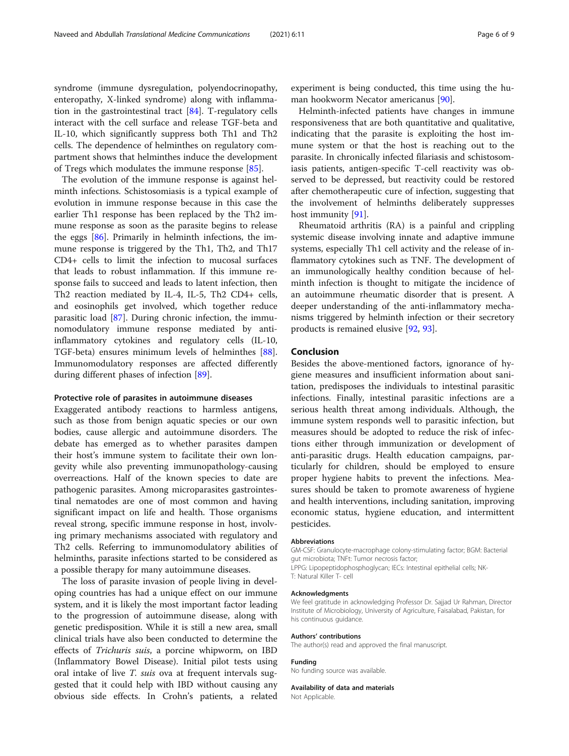syndrome (immune dysregulation, polyendocrinopathy, enteropathy, X-linked syndrome) along with inflammation in the gastrointestinal tract [\[84\]](#page-8-0). T-regulatory cells interact with the cell surface and release TGF-beta and IL-10, which significantly suppress both Th1 and Th2 cells. The dependence of helminthes on regulatory compartment shows that helminthes induce the development of Tregs which modulates the immune response [[85\]](#page-8-0).

The evolution of the immune response is against helminth infections. Schistosomiasis is a typical example of evolution in immune response because in this case the earlier Th1 response has been replaced by the Th2 immune response as soon as the parasite begins to release the eggs [[86\]](#page-8-0). Primarily in helminth infections, the immune response is triggered by the Th1, Th2, and Th17 CD4+ cells to limit the infection to mucosal surfaces that leads to robust inflammation. If this immune response fails to succeed and leads to latent infection, then Th2 reaction mediated by IL-4, IL-5, Th2 CD4+ cells, and eosinophils get involved, which together reduce parasitic load [[87](#page-8-0)]. During chronic infection, the immunomodulatory immune response mediated by antiinflammatory cytokines and regulatory cells (IL-10, TGF-beta) ensures minimum levels of helminthes [\[88](#page-8-0)]. Immunomodulatory responses are affected differently during different phases of infection [[89\]](#page-8-0).

#### Protective role of parasites in autoimmune diseases

Exaggerated antibody reactions to harmless antigens, such as those from benign aquatic species or our own bodies, cause allergic and autoimmune disorders. The debate has emerged as to whether parasites dampen their host's immune system to facilitate their own longevity while also preventing immunopathology-causing overreactions. Half of the known species to date are pathogenic parasites. Among microparasites gastrointestinal nematodes are one of most common and having significant impact on life and health. Those organisms reveal strong, specific immune response in host, involving primary mechanisms associated with regulatory and Th2 cells. Referring to immunomodulatory abilities of helminths, parasite infections started to be considered as a possible therapy for many autoimmune diseases.

The loss of parasite invasion of people living in developing countries has had a unique effect on our immune system, and it is likely the most important factor leading to the progression of autoimmune disease, along with genetic predisposition. While it is still a new area, small clinical trials have also been conducted to determine the effects of Trichuris suis, a porcine whipworm, on IBD (Inflammatory Bowel Disease). Initial pilot tests using oral intake of live *T. suis* ova at frequent intervals suggested that it could help with IBD without causing any obvious side effects. In Crohn's patients, a related experiment is being conducted, this time using the human hookworm Necator americanus [\[90\]](#page-8-0).

Helminth-infected patients have changes in immune responsiveness that are both quantitative and qualitative, indicating that the parasite is exploiting the host immune system or that the host is reaching out to the parasite. In chronically infected filariasis and schistosomiasis patients, antigen-specific T-cell reactivity was observed to be depressed, but reactivity could be restored after chemotherapeutic cure of infection, suggesting that the involvement of helminths deliberately suppresses host immunity [[91\]](#page-8-0).

Rheumatoid arthritis (RA) is a painful and crippling systemic disease involving innate and adaptive immune systems, especially Th1 cell activity and the release of inflammatory cytokines such as TNF. The development of an immunologically healthy condition because of helminth infection is thought to mitigate the incidence of an autoimmune rheumatic disorder that is present. A deeper understanding of the anti-inflammatory mechanisms triggered by helminth infection or their secretory products is remained elusive [[92](#page-8-0), [93](#page-8-0)].

#### Conclusion

Besides the above-mentioned factors, ignorance of hygiene measures and insufficient information about sanitation, predisposes the individuals to intestinal parasitic infections. Finally, intestinal parasitic infections are a serious health threat among individuals. Although, the immune system responds well to parasitic infection, but measures should be adopted to reduce the risk of infections either through immunization or development of anti-parasitic drugs. Health education campaigns, particularly for children, should be employed to ensure proper hygiene habits to prevent the infections. Measures should be taken to promote awareness of hygiene and health interventions, including sanitation, improving economic status, hygiene education, and intermittent pesticides.

#### Abbreviations

GM-CSF: Granulocyte-macrophage colony-stimulating factor; BGM: Bacterial gut microbiota; TNFt: Tumor necrosis factor; LPPG: Lipopeptidophosphoglycan; IECs: Intestinal epithelial cells; NK-

T: Natural Killer T- cell

#### Acknowledgments

We feel gratitude in acknowledging Professor Dr. Sajjad Ur Rahman, Director Institute of Microbiology, University of Agriculture, Faisalabad, Pakistan, for his continuous guidance.

#### Authors' contributions

The author(s) read and approved the final manuscript.

#### Funding

No funding source was available.

Availability of data and materials Not Applicable.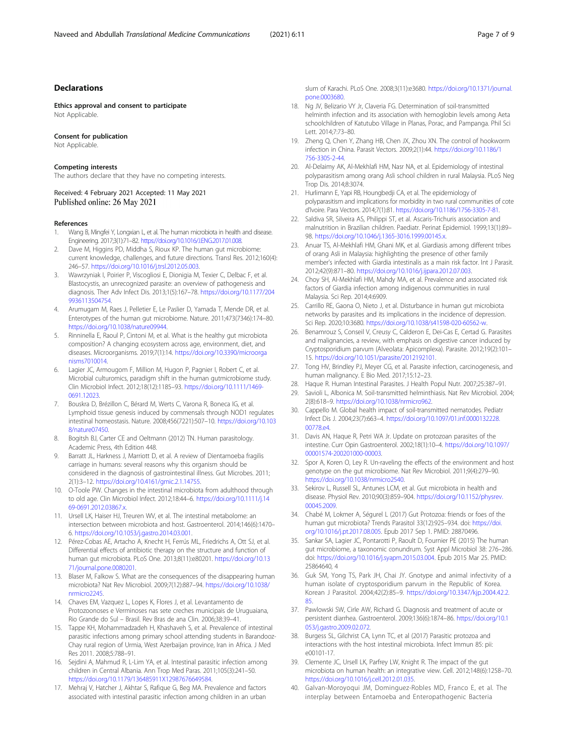#### <span id="page-6-0"></span>Declarations

Ethics approval and consent to participate Not Applicable.

#### Consent for publication

Not Applicable.

#### Competing interests

The authors declare that they have no competing interests.

Received: 4 February 2021 Accepted: 11 May 2021 Published online: 26 May 2021

#### References

- 1. Wang B, Mingfei Y, Longxian L, et al. The human microbiota in health and disease. Engineering. 2017;3(1):71–82. [https://doi.org/10.1016/J.ENG.2017.01.008.](https://doi.org/10.1016/J.ENG.2017.01.008)
- Dave M, Higgins PD, Middha S, Rioux KP. The human gut microbiome: current knowledge, challenges, and future directions. Transl Res. 2012;160(4): 246–57. <https://doi.org/10.1016/j.trsl.2012.05.003>.
- 3. Wawrzyniak I, Poirier P, Viscogliosi E, Dionigia M, Texier C, Delbac F, et al. Blastocystis, an unrecognized parasite: an overview of pathogenesis and diagnosis. Ther Adv Infect Dis. 2013;1(5):167–78. [https://doi.org/10.1177/204](https://doi.org/10.1177/2049936113504754) [9936113504754](https://doi.org/10.1177/2049936113504754).
- 4. Arumugam M, Raes J, Pelletier E, Le Paslier D, Yamada T, Mende DR, et al. Enterotypes of the human gut microbiome. Nature. 2011;473(7346):174–80. <https://doi.org/10.1038/nature09944>.
- 5. Rinninella E, Raoul P, Cintoni M, et al. What is the healthy gut microbiota composition? A changing ecosystem across age, environment, diet, and diseases. Microorganisms. 2019;7(1):14. [https://doi.org/10.3390/microorga](https://doi.org/10.3390/microorganisms7010014) [nisms7010014.](https://doi.org/10.3390/microorganisms7010014)
- Lagier JC, Armougom F, Million M, Hugon P, Pagnier I, Robert C, et al. Microbial culturomics, paradigm shift in the human gutmicrobiome study. Clin Microbiol Infect. 2012;18(12):1185–93. [https://doi.org/10.1111/1469-](https://doi.org/10.1111/1469-0691.12023) [0691.12023.](https://doi.org/10.1111/1469-0691.12023)
- 7. Bouskra D, Brézillon C, Bérard M, Werts C, Varona R, Boneca IG, et al. Lymphoid tissue genesis induced by commensals through NOD1 regulates intestinal homeostasis. Nature. 2008;456(7221):507–10. [https://doi.org/10.103](https://doi.org/10.1038/nature07450) [8/nature07450.](https://doi.org/10.1038/nature07450)
- 8. Bogitsh BJ, Carter CE and Oeltmann (2012) TN. Human parasitology. Academic Press, 4th Edition 448.
- 9. Barratt JL, Harkness J, Marriott D, et al. A review of Dientamoeba fragilis carriage in humans: several reasons why this organism should be considered in the diagnosis of gastrointestinal illness. Gut Microbes. 2011; 2(1):3–12. <https://doi.org/10.4161/gmic.2.1.14755>.
- 10. O-Toole PW. Changes in the intestinal microbiota from adulthood through to old age. Clin Microbiol Infect. 2012;18:44–6. [https://doi.org/10.1111/j.14](https://doi.org/10.1111/j.1469-0691.2012.03867.x) [69-0691.2012.03867.x.](https://doi.org/10.1111/j.1469-0691.2012.03867.x)
- 11. Ursell LK, Haiser HJ, Treuren WV, et al. The intestinal metabolome: an intersection between microbiota and host. Gastroenterol. 2014;146(6):1470– 6. <https://doi.org/10.1053/j.gastro.2014.03.001>.
- 12. Pérez-Cobas AE, Artacho A, Knecht H, Ferrús ML, Friedrichs A, Ott SJ, et al. Differential effects of antibiotic therapy on the structure and function of human gut microbiota. PLoS One. 2013;8(11):e80201. [https://doi.org/10.13](https://doi.org/10.1371/journal.pone.0080201) [71/journal.pone.0080201.](https://doi.org/10.1371/journal.pone.0080201)
- 13. Blaser M, Falkow S. What are the consequences of the disappearing human microbiota? Nat Rev Microbiol. 2009;7(12):887–94. [https://doi.org/10.1038/](https://doi.org/10.1038/nrmicro2245) [nrmicro2245](https://doi.org/10.1038/nrmicro2245).
- 14. Chaves EM, Vazquez L, Lopes K, Flores J, et al. Levantamento de Protozoonoses e Verminoses nas sete creches municipais de Uruguaiana, Rio Grande do Sul – Brasil. Rev Bras de ana Clin. 2006;38:39–41.
- 15. Tappe KH, Mohammadzadeh H, Khashaveh S, et al. Prevalence of intestinal parasitic infections among primary school attending students in Barandooz-Chay rural region of Urmia, West Azerbaijan province, Iran in Africa. J Med Res 2011. 2008;5:788–91.
- 16. Sejdini A, Mahmud R, L-Lim YA, et al. Intestinal parasitic infection among children in Central Albania. Ann Trop Med Paras. 2011;105(3):241–50. <https://doi.org/10.1179/136485911X12987676649584>.
- 17. Mehraj V, Hatcher J, Akhtar S, Rafique G, Beg MA. Prevalence and factors associated with intestinal parasitic infection among children in an urban

slum of Karachi. PLoS One. 2008;3(11):e3680. [https://doi.org/10.1371/journal.](https://doi.org/10.1371/journal.pone.0003680) [pone.0003680.](https://doi.org/10.1371/journal.pone.0003680)

- 18. Ng JV, Belizario VY Jr, Claveria FG. Determination of soil-transmitted helminth infection and its association with hemoglobin levels among Aeta schoolchildren of Katutubo Village in Planas, Porac, and Pampanga. Phil Sci Lett. 2014;7:73–80.
- 19. Zheng Q, Chen Y, Zhang HB, Chen JX, Zhou XN. The control of hookworm infection in China. Parasit Vectors. 2009;2(1):44. [https://doi.org/10.1186/1](https://doi.org/10.1186/1756-3305-2-44) [756-3305-2-44](https://doi.org/10.1186/1756-3305-2-44).
- 20. Al-Delaimy AK, Al-Mekhlafi HM, Nasr NA, et al. Epidemiology of intestinal polyparasitism among orang Asli school children in rural Malaysia. PLoS Neg Trop Dis. 2014;8:3074.
- 21. Hurlimann E, Yapi RB, Houngbedji CA, et al. The epidemiology of polyparasitism and implications for morbidity in two rural communities of cote d'Ivoire. Para Vectors. 2014;7(1):81. <https://doi.org/10.1186/1756-3305-7-81>.
- 22. Saldiva SR, Silveira AS, Philippi ST, et al. Ascaris-Trichuris association and malnutrition in Brazilian children. Paediatr. Perinat Epidemiol. 1999;13(1):89– 98. <https://doi.org/10.1046/j.1365-3016.1999.00145.x>.
- 23. Anuar TS, Al-Mekhlafi HM, Ghani MK, et al. Giardiasis among different tribes of orang Asli in Malaysia: highlighting the presence of other family member's infected with Giardia intestinalis as a main risk factor. Int J Parasit. 2012;42(9):871–80. <https://doi.org/10.1016/j.ijpara.2012.07.003>.
- 24. Choy SH, Al-Mekhlafi HM, Mahdy MA, et al. Prevalence and associated risk factors of Giardia infection among indigenous communities in rural Malaysia. Sci Rep. 2014;4:6909.
- 25. Carrillo RE, Gaona O, Nieto J, et al. Disturbance in human gut microbiota networks by parasites and its implications in the incidence of depression. Sci Rep. 2020;10:3680. <https://doi.org/10.1038/s41598-020-60562-w>.
- 26. Benamrouz S, Conseil V, Creusy C, Calderon E, Dei-Cas E, Certad G. Parasites and malignancies, a review, with emphasis on digestive cancer induced by Cryptosporidium parvum (Alveolata: Apicomplexa). Parasite. 2012;19(2):101– 15. [https://doi.org/10.1051/parasite/2012192101.](https://doi.org/10.1051/parasite/2012192101)
- 27. Tong HV, Brindley PJ, Meyer CG, et al. Parasite infection, carcinogenesis, and human malignancy. E Bio Med. 2017;15:12–23.
- 28. Haque R. Human Intestinal Parasites. J Health Popul Nutr. 2007;25:387–91.
- 29. Savioli L, Albonica M. Soil-transmitted helminthiasis. Nat Rev Microbiol. 2004; 2(8):618–9. [https://doi.org/10.1038/nrmicro962.](https://doi.org/10.1038/nrmicro962)
- 30. Cappello M. Global health impact of soil-transmitted nematodes. Pediatr Infect Dis J. 2004;23(7):663–4. [https://doi.org/10.1097/01.inf.0000132228.](https://doi.org/10.1097/01.inf.0000132228.00778.e4) [00778.e4.](https://doi.org/10.1097/01.inf.0000132228.00778.e4)
- 31. Davis AN, Haque R, Petri WA Jr. Update on protozoan parasites of the intestine. Curr Opin Gastroenterol. 2002;18(1):10–4. [https://doi.org/10.1097/](https://doi.org/10.1097/00001574-200201000-00003) [00001574-200201000-00003.](https://doi.org/10.1097/00001574-200201000-00003)
- 32. Spor A, Koren O, Ley R. Un-raveling the effects of the environment and host genotype on the gut microbiome. Nat Rev Microbiol. 2011;9(4):279–90. [https://doi.org/10.1038/nrmicro2540.](https://doi.org/10.1038/nrmicro2540)
- 33. Sekirov L, Russell SL, Antunes LCM, et al. Gut microbiota in health and disease. Physiol Rev. 2010;90(3):859–904. [https://doi.org/10.1152/physrev.](https://doi.org/10.1152/physrev.00045.2009) [00045.2009.](https://doi.org/10.1152/physrev.00045.2009)
- 34. Chabé M, Lokmer A, Ségurel L (2017) Gut Protozoa: friends or foes of the human gut microbiota? Trends Parasitol 33(12):925–934. doi: [https://doi.](https://doi.org/10.1016/j.pt.2017.08.005) [org/10.1016/j.pt.2017.08.005.](https://doi.org/10.1016/j.pt.2017.08.005) Epub 2017 Sep 1. PMID: 28870496.
- 35. Sankar SA, Lagier JC, Pontarotti P, Raoult D, Fournier PE (2015) The human gut microbiome, a taxonomic conundrum. Syst Appl Microbiol 38: 276–286. doi: [https://doi.org/10.1016/j.syapm.2015.03.004.](https://doi.org/10.1016/j.syapm.2015.03.004) Epub 2015 Mar 25. PMID: 25864640, 4
- 36. Guk SM, Yong TS, Park JH, Chai JY. Gnotype and animal infectivity of a human isolate of cryptosporidium parvum in the Republic of Korea. Korean J Parasitol. 2004;42(2):85–9. [https://doi.org/10.3347/kjp.2004.42.2.](https://doi.org/10.3347/kjp.2004.42.2.85) [85.](https://doi.org/10.3347/kjp.2004.42.2.85)
- 37. Pawlowski SW, Cirle AW, Richard G. Diagnosis and treatment of acute or persistent diarrhea. Gastroenterol. 2009;136(6):1874–86. [https://doi.org/10.1](https://doi.org/10.1053/j.gastro.2009.02.072) [053/j.gastro.2009.02.072.](https://doi.org/10.1053/j.gastro.2009.02.072)
- 38. Burgess SL, Gilchrist CA, Lynn TC, et al (2017) Parasitic protozoa and interactions with the host intestinal microbiota. Infect Immun 85: pii: e00101-17.
- 39. Clemente JC, Ursell LK, Parfrey LW, Knight R. The impact of the gut microbiota on human health: an integrative view. Cell. 2012;148(6):1258–70. <https://doi.org/10.1016/j.cell.2012.01.035>.
- 40. Galvan-Moroyoqui JM, Dominguez-Robles MD, Franco E, et al. The interplay between Entamoeba and Enteropathogenic Bacteria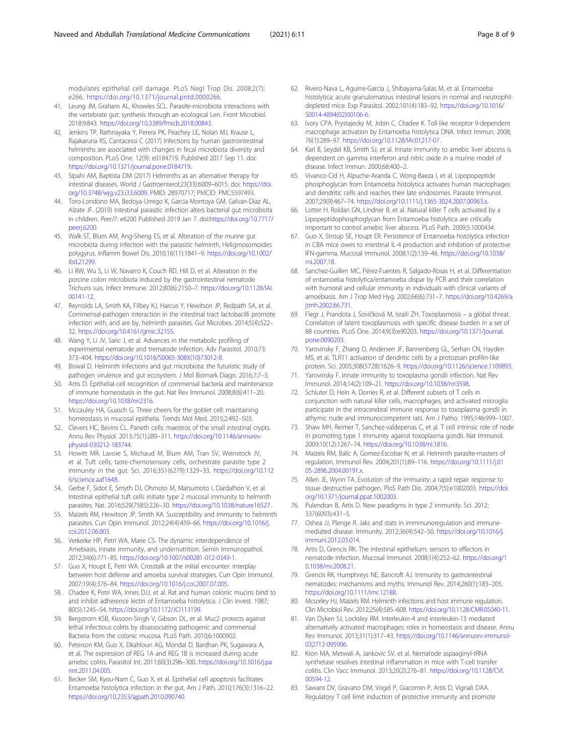<span id="page-7-0"></span>modulates epithelial cell damage. PLoS Negl Trop Dis. 2008;2(7): e266. [https://doi.org/10.1371/journal.pntd.0000266.](https://doi.org/10.1371/journal.pntd.0000266)

- 41. Leung JM, Graham AL, Knowles SCL. Parasite-microbiota interactions with the vertebrate gut: synthesis through an ecological Len. Front Microbiol. 2018;9:843. <https://doi.org/10.3389/fmicb.2018.00843>.
- 42. Jenkins TP, Rathnayaka Y, Perera PK, Peachey LE, Nolan MJ, Krause L, Rajakaruna RS, Cantacessi C (2017) Infections by human gastrointestinal helminths are associated with changes in fecal microbiota diversity and composition. PLoS One. 12(9): e0184719. Published 2017 Sep 11. doi: [https://doi.org/10.1371/journal.pone.0184719.](https://doi.org/10.1371/journal.pone.0184719)
- 43. Sipahi AM, Baptista DM (2017) Helminths as an alternative therapy for intestinal diseases. World J Gastroenterol;23(33):6009–6015. doi: [https://doi.](https://doi.org/10.3748/wjg.v23.i33.6009) [org/10.3748/wjg.v23.i33.6009.](https://doi.org/10.3748/wjg.v23.i33.6009) PMID: 28970717; PMCID: PMC5597493.
- 44. Toro-Londono MA, Bedoya-Urrego K, Garcia-Montoya GM, Galvan-Diaz AL, Alzate JF. (2019) Intestinal parasitic infection alters bacterial gut microbiota in children. PeerJ7: e6200 Published 2019 Jan 7. doi[:https://doi.org/10.7717/](https://doi.org/10.7717/peerj.6200) [peerj.6200.](https://doi.org/10.7717/peerj.6200)
- 45. Walk ST, Blum AM, Ang-Sheng ES, et al. Alteration of the murine gut microbiota during infection with the parasitic helminth, Heligmosomoides polygyrus. Inflamm Bowel Dis. 2010;16(11):1841–9. [https://doi.org/10.1002/](https://doi.org/10.1002/ibd.21299) [ibd.21299](https://doi.org/10.1002/ibd.21299).
- 46. Li RW, Wu S, Li W, Navarro K, Couch RD, Hill D, et al. Alteration in the porcine colon microbiota induced by the gastrointestinal nematode Trichuris suis. Infect Immune. 2012;80(6):2150–7. [https://doi.org/10.1128/IAI.](https://doi.org/10.1128/IAI.00141-12) [00141-12.](https://doi.org/10.1128/IAI.00141-12)
- 47. Reynolds LA, Smith KA, Filbey KJ, Harcus Y, Hewitson JP, Redpath SA, et al. Commensal-pathogen interaction in the intestinal tract lactobacilli promote infection with, and are by, helminth parasites. Gut Microbes. 2014;5(4):522– 32. [https://doi.org/10.4161/gmic.32155.](https://doi.org/10.4161/gmic.32155)
- 48. Wang Y, Li JV, Saric J, et al. Advances in the metabolic profiling of experimental nematode and trematode infection. Adv Parasitol. 2010;73: 373–404. [https://doi.org/10.1016/S0065-308X\(10\)73012-8](https://doi.org/10.1016/S0065-308X(10)73012-8).
- 49. Biswal D. Helminth infections and gut microbiota: the futuristic study of pathogen virulence and gut ecosystem. J Mol Biomark Diagn. 2016;7:7–3.
- 50. Artis D. Epithelial-cell recognition of commensal bacteria and maintenance of immune homeostasis in the gut. Nat Rev Immunol. 2008;8(6):411–20. [https://doi.org/10.1038/nri2316.](https://doi.org/10.1038/nri2316)
- 51. Mccauley HA, Guasch G. Three cheers for the goblet cell: maintaining homeostasis in mucosal epithelia. Trends Mol Med. 2015;2:492–503.
- 52. Clevers HC, Bevins CL. Paneth cells: maestros of the small intestinal crypts. Annu Rev Physiol. 2013;75(1):289–311. [https://doi.org/10.1146/annurev](https://doi.org/10.1146/annurev-physiol-030212-183744)[physiol-030212-183744.](https://doi.org/10.1146/annurev-physiol-030212-183744)
- 53. Howitt MR, Lavoie S, Michaud M, Blum AM, Tran SV, Weinstock JV, et al. Tuft cells, taste-chemosensory cells, orchestrate parasite type 2 immunity in the gut. Sci. 2016;351(6279):1329–33. [https://doi.org/10.112](https://doi.org/10.1126/science.aaf1648) [6/science.aaf1648](https://doi.org/10.1126/science.aaf1648).
- 54. Gerbe F, Sidot E, Smyth DJ, Ohmoto M, Matsumoto I, Dardalhon V, et al. Intestinal epithelial tuft cells initiate type 2 mucosal immunity to helminth parasites. Nat. 2016;529(7585):226–30. [https://doi.org/10.1038/nature16527.](https://doi.org/10.1038/nature16527)
- 55. Maizels RM, Hewitson JP, Smith KA. Susceptibility and immunity to helminth parasites. Curr Opin Immunol. 2012;24(4):459–66. [https://doi.org/10.1016/j.](https://doi.org/10.1016/j.coi.2012.06.003) [coi.2012.06.003](https://doi.org/10.1016/j.coi.2012.06.003).
- 56. Verkerke HP, Petri WA, Marie CS. The dynamic interdependence of Amebiasis, innate immunity, and undernutrition. Semin Immunopathol. 2012;34(6):771–85. <https://doi.org/10.1007/s00281-012-0349-1>.
- 57. Guo X, Houpt E, Petri WA. Crosstalk at the initial encounter: interplay between host defense and amoeba survival strategies. Curr Opin Immunol. 2007;19(4):376–84. <https://doi.org/10.1016/j.coi.2007.07.005>.
- 58. Chadee K, Petri WA, Innes DJJ, et al. Rat and human colonic mucins bind to and inhibit adherence lectin of Entamoeba histolytica. J Clin Invest. 1987; 80(5):1245–54. [https://doi.org/10.1172/JCI113199.](https://doi.org/10.1172/JCI113199)
- 59. Bergstrom KSB, Kissoon-Singh V, Gibson DL, et al. Muc2 protects against lethal infectious colitis by disassociating pathogenic and commensal Bacteria from the colonic mucosa. PLoS Path. 2010;6:1000902.
- 60. Peterson KM, Guo X, Elkahloun AG, Mondal D, Bardhan PK, Sugawara A, et al. The expression of REG 1A and REG 1B is increased during acute amebic colitis. Parasitol Int. 2011;60(3):296–300. [https://doi.org/10.1016/j.pa](https://doi.org/10.1016/j.parint.2011.04.005) [rint.2011.04.005](https://doi.org/10.1016/j.parint.2011.04.005).
- 61. Becker SM, Kyou-Nam C, Guo X, et al. Epithelial cell apoptosis facilitates Entamoeba histolytica infection in the gut. Am J Path. 2010;176(3):1316–22. <https://doi.org/10.2353/ajpath.2010.090740>.
- 62. Rivero-Nava L, Aguirre-García J, Shibayama-Salas M, et al. Entamoeba histolytica: acute granulomatous intestinal lesions in normal and neutrophildepleted mice. Exp Parasitol. 2002;101(4):183–92. [https://doi.org/10.1016/](https://doi.org/10.1016/S0014-4894(02)00106-6) [S0014-4894\(02\)00106-6](https://doi.org/10.1016/S0014-4894(02)00106-6).
- 63. Ivory CPA, Prystajecky M, Jobin C, Chadee K. Toll-like receptor 9-dependent macrophage activation by Entamoeba histolytica DNA. Infect Immun. 2008; 76(1):289–97. <https://doi.org/10.1128/IAI.01217-07>.
- Karl B, Seydel KB, Smith SJ, et al. Innate immunity to amebic liver abscess is dependent on gamma interferon and nitric oxide in a murine model of disease. Infect Immun. 2000;68:400–2.
- 65. Vivanco-Cid H, Alpuche-Aranda C, Wong-Baeza I, et al. Lipopopeptide phosphoglycan from Entamoeba histolytica activates human macrophages and dendritic cells and reaches their late endosomes. Parasite Immunol. 2007;29(9):467–74. <https://doi.org/10.1111/j.1365-3024.2007.00963.x>.
- 66. Lotter H, Roldan GN, Lindner B, et al. Natural killer T cells activated by a Lipopeptidophosphoglycan from Entamoeba histolytica are critically important to control amebic liver abscess. PLoS Path. 2009;5:1000434.
- 67. Guo X, Stroup SE, Houpt ER. Persistence of Entamoeba histolytica infection in CBA mice owes to intestinal IL-4 production and inhibition of protective IFN-gamma. Mucosal Immunol. 2008;1(2):139–46. [https://doi.org/10.1038/](https://doi.org/10.1038/mi.2007.18) [mi.2007.18.](https://doi.org/10.1038/mi.2007.18)
- 68. Sanchez-Guillen MC, Pérez-Fuentes R, Salgado-Rosas H, et al. Differentiation of entamoeba histolytica/entamoeba dispar by PCR and their correlation with humoral and cellular immunity in individuals with clinical variants of amoebiasis. Am J Trop Med Hyg. 2002;66(6):731–7. [https://doi.org/10.4269/a](https://doi.org/10.4269/ajtmh.2002.66.731) [jtmh.2002.66.731](https://doi.org/10.4269/ajtmh.2002.66.731).
- 69. Flegr J, Prandota J, Sovičková M, Israili ZH. Toxoplasmosis a global threat. Correlation of latent toxoplasmosis with specific disease burden in a set of 88 countries. PLoS One. 2014;9(3):e90203. [https://doi.org/10.1371/journal.](https://doi.org/10.1371/journal.pone.0090203) [pone.0090203.](https://doi.org/10.1371/journal.pone.0090203)
- 70. Yarovinsky F, Zhang D, Andersen JF, Bannenberg GL, Serhan CN, Hayden MS, et al. TLR11 activation of dendritic cells by a protozoan profilin-like protein. Sci. 2005;308(5728):1626–9. [https://doi.org/10.1126/science.1109893.](https://doi.org/10.1126/science.1109893)
- 71. Yarovinsky F. Innate immunity to toxoplasma gondii infection. Nat Rev Immunol. 2014;14(2):109–21. <https://doi.org/10.1038/nri3598>.
- 72. Schluter D, Hein A, Dorries R, et al. Different subsets of T cells in conjunction with natural killer cells, macrophages, and activated microglia participate in the intracerebral immune response to toxoplasma gondii in athymic nude and immunocompetent rats. Am J Patho. 1995;146:999–1007.
- 73. Shaw MH, Reimer T, Sanchez-valdepenas C, et al. T cell intrinsic role of node in promoting type 1 immunity against toxoplasma gondii. Nat Immunol. 2009;10(12):1267–74. [https://doi.org/10.1038/ni.1816.](https://doi.org/10.1038/ni.1816)
- 74. Maizels RM, Balic A, Gomez-Escobar N, et al. Helminth parasite-masters of regulation. Immunol Rev. 2004;201(1):89–116. [https://doi.org/10.1111/j.01](https://doi.org/10.1111/j.0105-2896.2004.00191.x) [05-2896.2004.00191.x.](https://doi.org/10.1111/j.0105-2896.2004.00191.x)
- 75. Allen JE, Wynn TA. Evolution of the immunity: a rapid repair response to tissue destructive pathogen. PloS Path Dio. 2004;7(5):e1002003. [https://doi.](https://doi.org/10.1371/journal.ppat.1002003) [org/10.1371/journal.ppat.1002003.](https://doi.org/10.1371/journal.ppat.1002003)
- 76. Pulendran B, Artis D. New paradigms in type 2 immunity. Sci. 2012; 337(6093):431–5.
- 77. Oshea JJ, Plenge R. Jaks and stats in immmunoregulation and immunemediated disease. Immunity. 2012;36(4):542–50. [https://doi.org/10.1016/j.](https://doi.org/10.1016/j.immuni.2012.03.014) [immuni.2012.03.014](https://doi.org/10.1016/j.immuni.2012.03.014).
- Artis D, Grencis RK. The intestinal epithelium: sensors to effectors in nematode infection. Mucosal Immunol. 2008;1(4):252–62. [https://doi.org/1](https://doi.org/10.1038/mi.2008.21) [0.1038/mi.2008.21.](https://doi.org/10.1038/mi.2008.21)
- 79. Grencis RK, Humphreys NE, Bancroft AJ. Immunity to gastrointestinal nematodes: mechanisms and myths. Immunol Rev. 2014;260(1):183–205. [https://doi.org/10.1111/imr.12188.](https://doi.org/10.1111/imr.12188)
- 80. Mcsorley HJ, Maizels RM. Helminth infections and host immune regulation. Clin Microbiol Rev. 2012;25(4):585–608. <https://doi.org/10.1128/CMR.05040-11>.
- 81. Van Dyken SJ, Locksley RM. Interleukin-4 and interleukin-13 mediated alternatively activated macrophages: roles in homeostasis and disease. Annu Rev Immunol. 2013;31(1):317–43. [https://doi.org/10.1146/annurev-immunol-](https://doi.org/10.1146/annurev-immunol-032712-095906)[032712-095906.](https://doi.org/10.1146/annurev-immunol-032712-095906)
- 82. Kron MA, Metwali A, Jankovic SV, et al. Nematode aspaaginyl-tRNA synthetase resolves intestinal inflammation in mice with T-cell transfer colitis. Clin Vacc Immunol. 2013;20(2):276–81. [https://doi.org/10.1128/CVI.](https://doi.org/10.1128/CVI.00594-12) [00594-12.](https://doi.org/10.1128/CVI.00594-12)
- 83. Sawant DV, Gravano DM, Vogel P, Giacomin P, Artis D, Vignali DAA. Regulatory T cell limit induction of protective immunity and promote